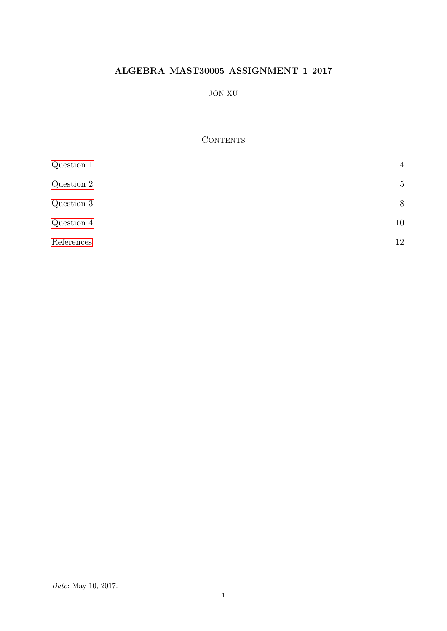# ALGEBRA MAST30005 ASSIGNMENT 1 2017

## JON XU

## **CONTENTS**

| Question 1 | $\overline{4}$ |
|------------|----------------|
| Question 2 | $\overline{5}$ |
| Question 3 | 8              |
| Question 4 | 10             |
| References | 12             |

 $\overline{Date:$  May 10, 2017.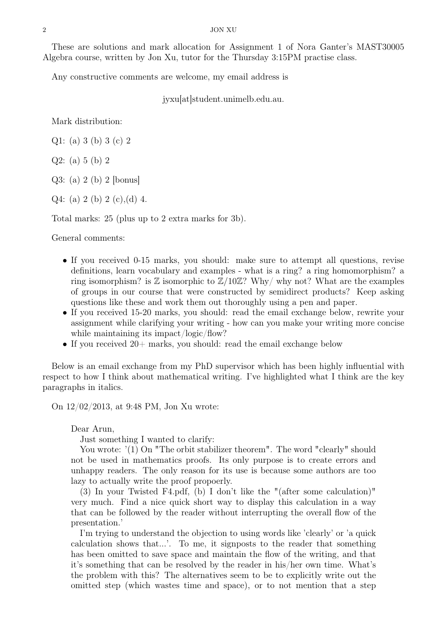These are solutions and mark allocation for Assignment 1 of Nora Ganter's MAST30005 Algebra course, written by Jon Xu, tutor for the Thursday 3:15PM practise class.

Any constructive comments are welcome, my email address is

jyxu[at]student.unimelb.edu.au.

Mark distribution:

Q1: (a) 3 (b) 3 (c) 2

Q2: (a) 5 (b) 2

Q3: (a) 2 (b) 2 [bonus]

Q4: (a) 2 (b) 2 (c), (d) 4.

Total marks: 25 (plus up to 2 extra marks for 3b).

General comments:

- If you received 0-15 marks, you should: make sure to attempt all questions, revise definitions, learn vocabulary and examples - what is a ring? a ring homomorphism? a ring isomorphism? is  $\mathbb{Z}$  isomorphic to  $\mathbb{Z}/10\mathbb{Z}$ ? Why not? What are the examples of groups in our course that were constructed by semidirect products? Keep asking questions like these and work them out thoroughly using a pen and paper.
- If you received 15-20 marks, you should: read the email exchange below, rewrite your assignment while clarifying your writing - how can you make your writing more concise while maintaining its impact/logic/flow?
- If you received  $20+$  marks, you should: read the email exchange below

Below is an email exchange from my PhD supervisor which has been highly influential with respect to how I think about mathematical writing. I've highlighted what I think are the key paragraphs in italics.

On 12/02/2013, at 9:48 PM, Jon Xu wrote:

Dear Arun,

Just something I wanted to clarify:

You wrote: '(1) On "The orbit stabilizer theorem". The word "clearly" should not be used in mathematics proofs. Its only purpose is to create errors and unhappy readers. The only reason for its use is because some authors are too lazy to actually write the proof propoerly.

(3) In your Twisted F4.pdf, (b) I don't like the "(after some calculation)" very much. Find a nice quick short way to display this calculation in a way that can be followed by the reader without interrupting the overall flow of the presentation.'

I'm trying to understand the objection to using words like 'clearly' or 'a quick calculation shows that...'. To me, it signposts to the reader that something has been omitted to save space and maintain the flow of the writing, and that it's something that can be resolved by the reader in his/her own time. What's the problem with this? The alternatives seem to be to explicitly write out the omitted step (which wastes time and space), or to not mention that a step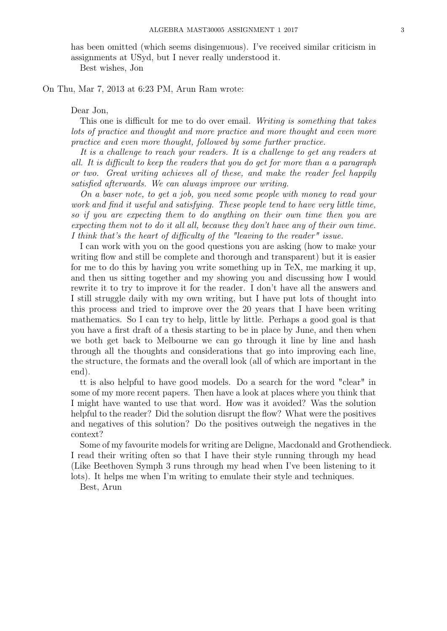has been omitted (which seems disingenuous). I've received similar criticism in assignments at USyd, but I never really understood it. Best wishes, Jon

On Thu, Mar 7, 2013 at 6:23 PM, Arun Ram wrote:

Dear Jon,

This one is difficult for me to do over email. Writing is something that takes lots of practice and thought and more practice and more thought and even more practice and even more thought, followed by some further practice.

It is a challenge to reach your readers. It is a challenge to get any readers at all. It is difficult to keep the readers that you do get for more than a a paragraph or two. Great writing achieves all of these, and make the reader feel happily satisfied afterwards. We can always improve our writing.

On a baser note, to get a job, you need some people with money to read your work and find it useful and satisfying. These people tend to have very little time, so if you are expecting them to do anything on their own time then you are expecting them not to do it all all, because they don't have any of their own time. I think that's the heart of difficulty of the "leaving to the reader" issue.

I can work with you on the good questions you are asking (how to make your writing flow and still be complete and thorough and transparent) but it is easier for me to do this by having you write something up in TeX, me marking it up, and then us sitting together and my showing you and discussing how I would rewrite it to try to improve it for the reader. I don't have all the answers and I still struggle daily with my own writing, but I have put lots of thought into this process and tried to improve over the 20 years that I have been writing mathematics. So I can try to help, little by little. Perhaps a good goal is that you have a first draft of a thesis starting to be in place by June, and then when we both get back to Melbourne we can go through it line by line and hash through all the thoughts and considerations that go into improving each line, the structure, the formats and the overall look (all of which are important in the end).

tt is also helpful to have good models. Do a search for the word "clear" in some of my more recent papers. Then have a look at places where you think that I might have wanted to use that word. How was it avoided? Was the solution helpful to the reader? Did the solution disrupt the flow? What were the positives and negatives of this solution? Do the positives outweigh the negatives in the context?

Some of my favourite models for writing are Deligne, Macdonald and Grothendieck. I read their writing often so that I have their style running through my head (Like Beethoven Symph 3 runs through my head when I've been listening to it lots). It helps me when I'm writing to emulate their style and techniques.

Best, Arun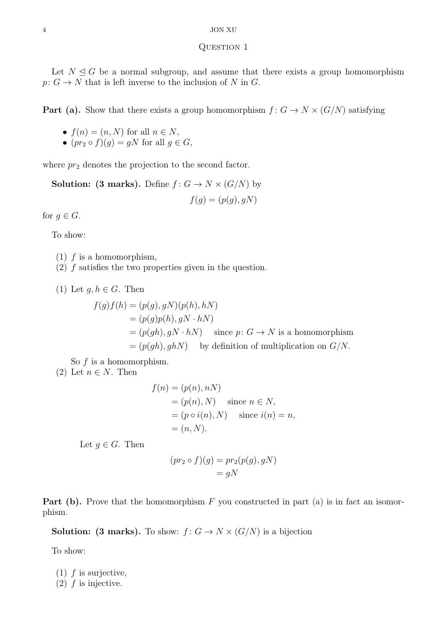### <span id="page-3-0"></span>QUESTION 1

Let  $N \leq G$  be a normal subgroup, and assume that there exists a group homomorphism  $p: G \to N$  that is left inverse to the inclusion of N in G.

**Part (a).** Show that there exists a group homomorphism  $f: G \to N \times (G/N)$  satisfying

- $f(n) = (n, N)$  for all  $n \in N$ ,
- $(pr_2 \circ f)(g) = gN$  for all  $g \in G$ ,

where  $pr_2$  denotes the projection to the second factor.

**Solution:** (3 marks). Define  $f: G \to N \times (G/N)$  by  $f(g) = (p(g), gN)$ 

for  $g \in G$ .

To show:

- $(1)$  f is a homomorphism,
- (2) f satisfies the two properties given in the question.
- (1) Let  $g, h \in G$ . Then

$$
f(g)f(h) = (p(g), gN)(p(h), hN)
$$
  
=  $(p(g)p(h), gN \cdot hN)$   
=  $(p(gh), gN \cdot hN)$  since  $p: G \to N$  is a homomorphism  
=  $(p(gh), ghN)$  by definition of multiplication on  $G/N$ .

So  $f$  is a homomorphism.

(2) Let  $n \in N$ . Then

$$
f(n) = (p(n), nN)
$$
  
=  $(p(n), N)$  since  $n \in N$ ,  
=  $(p \circ i(n), N)$  since  $i(n) = n$ ,  
=  $(n, N)$ .

Let  $g \in G$ . Then

$$
(pr_2 \circ f)(g) = pr_2(p(g), gN)
$$

$$
= gN
$$

**Part (b).** Prove that the homomorphism  $F$  you constructed in part (a) is in fact an isomorphism.

**Solution:** (3 marks). To show:  $f: G \to N \times (G/N)$  is a bijection

To show:

- (1)  $f$  is surjective,
- $(2)$  f is injective.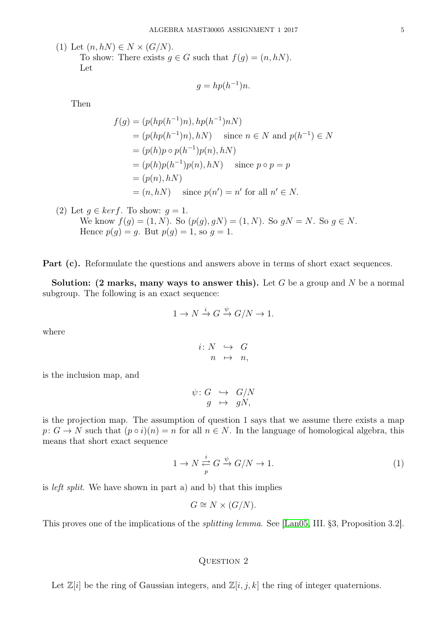(1) Let  $(n, hN) \in N \times (G/N)$ .

To show: There exists  $g \in G$  such that  $f(g) = (n, hN)$ . Let

$$
g = hp(h^{-1})n.
$$

Then

$$
f(g) = (p(hp(h^{-1})n), hp(h^{-1})nN)
$$
  
=  $(p(hp(h^{-1})n), hN)$  since  $n \in N$  and  $p(h^{-1}) \in N$   
=  $(p(h)p \circ p(h^{-1})p(n), hN)$   
=  $(p(h)p(h^{-1})p(n), hN)$  since  $p \circ p = p$   
=  $(p(n), hN)$   
=  $(n, hN)$  since  $p(n') = n'$  for all  $n' \in N$ .

(2) Let 
$$
g \in ker f
$$
. To show:  $g = 1$ . We know  $f(g) = (1, N)$ . So  $(p(g), gN) = (1, N)$ . So  $gN = N$ . So  $g \in N$ . Hence  $p(g) = g$ . But  $p(g) = 1$ , so  $g = 1$ .

Part (c). Reformulate the questions and answers above in terms of short exact sequences.

Solution: (2 marks, many ways to answer this). Let G be a group and N be a normal subgroup. The following is an exact sequence:

$$
1 \to N \xrightarrow{i} G \xrightarrow{\psi} G/N \to 1.
$$

where

$$
\begin{array}{rcl} i\colon N & \hookrightarrow & G \\ n & \mapsto & n, \end{array}
$$

is the inclusion map, and

$$
\psi: G \hookrightarrow G/N
$$

$$
g \mapsto gN,
$$

is the projection map. The assumption of question 1 says that we assume there exists a map  $p: G \to N$  such that  $(p \circ i)(n) = n$  for all  $n \in N$ . In the language of homological algebra, this means that short exact sequence

$$
1 \to N \stackrel{i}{\underset{p}{\rightleftarrows}} G \stackrel{\psi}{\to} G/N \to 1. \tag{1}
$$

is left split. We have shown in part a) and b) that this implies

$$
G \cong N \times (G/N).
$$

This proves one of the implications of the splitting lemma. See [\[Lan05,](#page-11-1) III. §3, Proposition 3.2].

## <span id="page-4-0"></span>QUESTION 2

Let  $\mathbb{Z}[i]$  be the ring of Gaussian integers, and  $\mathbb{Z}[i, j, k]$  the ring of integer quaternions.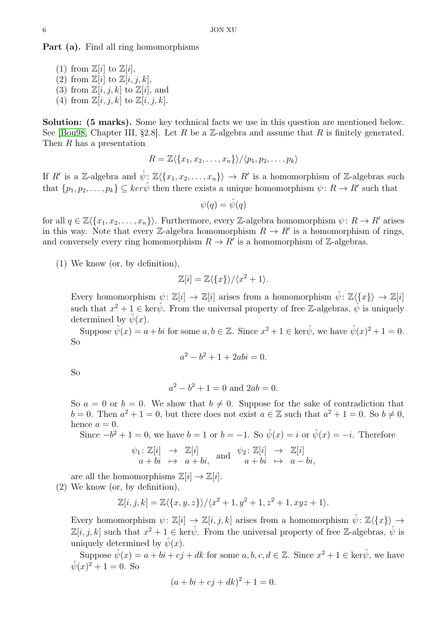Part (a). Find all ring homomorphisms

- (1) from  $\mathbb{Z}[i]$  to  $\mathbb{Z}[i]$ ,
- (2) from  $\mathbb{Z}[i]$  to  $\mathbb{Z}[i, j, k]$ ,
- (3) from  $\mathbb{Z}[i, j, k]$  to  $\mathbb{Z}[i]$ , and
- (4) from  $\mathbb{Z}[i, j, k]$  to  $\mathbb{Z}[i, j, k]$ .

Solution: (5 marks). Some key technical facts we use in this question are mentioned below. See [\[Bou98,](#page-11-2) Chapter III, §2.8]. Let R be a Z-algebra and assume that R is finitely generated. Then R has a presentation

$$
R = \mathbb{Z}\langle\{x_1, x_2, \ldots, x_n\}\rangle / \langle p_1, p_2, \ldots, p_k\rangle
$$

If R' is a Z-algebra and  $\hat{\psi}$ :  $\mathbb{Z}\langle\{x_1, x_2, \ldots, x_n\}\rangle \rightarrow R'$  is a homomorphism of Z-algebras such that  $\{p_1, p_2, \ldots, p_k\} \subseteq \ker \hat{\psi}$  then there exists a unique homomorphism  $\psi \colon R \to R'$  such that

$$
\psi(q)=\hat{\psi}(q)
$$

for all  $q \in \mathbb{Z}\langle\{x_1, x_2, \ldots, x_n\}\rangle$ . Furthermore, every Z-algebra homomorphism  $\psi: R \to R'$  arises in this way. Note that every Z-algebra homomorphism  $R \to R'$  is a homomorphism of rings, and conversely every ring homomorphism  $R \to R'$  is a homomorphism of Z-algebras.

(1) We know (or, by definition),

$$
\mathbb{Z}[i] = \mathbb{Z}\langle \{x\} \rangle / \langle x^2 + 1 \rangle.
$$

Every homomorphism  $\psi: \mathbb{Z}[i] \to \mathbb{Z}[i]$  arises from a homomorphism  $\hat{\psi}: \mathbb{Z}\langle \{x\} \rangle \to \mathbb{Z}[i]$ such that  $x^2 + 1 \in \text{ker}\hat{\psi}$ . From the universal property of free Z-algebras,  $\hat{\psi}$  is uniquely determined by  $\hat{\psi}(x)$ .

Suppose  $\hat{\psi}(x) = a + bi$  for some  $a, b \in \mathbb{Z}$ . Since  $x^2 + 1 \in \text{ker}\hat{\psi}$ , we have  $\hat{\psi}(x)^2 + 1 = 0$ . So

$$
a^2 - b^2 + 1 + 2abi = 0.
$$

So

$$
a^2 - b^2 + 1 = 0
$$
 and  $2ab = 0$ .

So  $a = 0$  or  $b = 0$ . We show that  $b \neq 0$ . Suppose for the sake of contradiction that  $b = 0$ . Then  $a^2 + 1 = 0$ , but there does not exist  $a \in \mathbb{Z}$  such that  $a^2 + 1 = 0$ . So  $b \neq 0$ , hence  $a = 0$ .

Since  $-b^2 + 1 = 0$ , we have  $b = 1$  or  $b = -1$ . So  $\hat{\psi}(x) = i$  or  $\hat{\psi}(x) = -i$ . Therefore

$$
\begin{array}{rcl}\n\psi_1: \mathbb{Z}[i] & \rightarrow & \mathbb{Z}[i] \\
a + bi & \mapsto & a + bi, \quad \text{and} \quad & \psi_2: \mathbb{Z}[i] \quad \rightarrow & \mathbb{Z}[i] \\
\end{array}
$$

are all the homomorphisms  $\mathbb{Z}[i] \to \mathbb{Z}[i]$ .

(2) We know (or, by definition),

$$
\mathbb{Z}[i,j,k] = \mathbb{Z}\langle \{x,y,z\} \rangle / \langle x^2 + 1, y^2 + 1, z^2 + 1, xyz + 1 \rangle.
$$

Every homomorphism  $\psi: \mathbb{Z}[i] \to \mathbb{Z}[i, j, k]$  arises from a homomorphism  $\hat{\psi}: \mathbb{Z}\langle \{x\} \rangle \to$  $\mathbb{Z}[i, j, k]$  such that  $x^2 + 1 \in \text{ker}\hat{\psi}$ . From the universal property of free Z-algebras,  $\hat{\psi}$  is uniquely determined by  $\hat{\psi}(x)$ .

Suppose  $\hat{\psi}(x) = a + bi + cj + dk$  for some  $a, b, c, d \in \mathbb{Z}$ . Since  $x^2 + 1 \in \text{ker}\hat{\psi}$ , we have  $\hat{\psi}(x)^2 + 1 = 0.$  So

$$
(a + bi + cj + dk)^2 + 1 = 0.
$$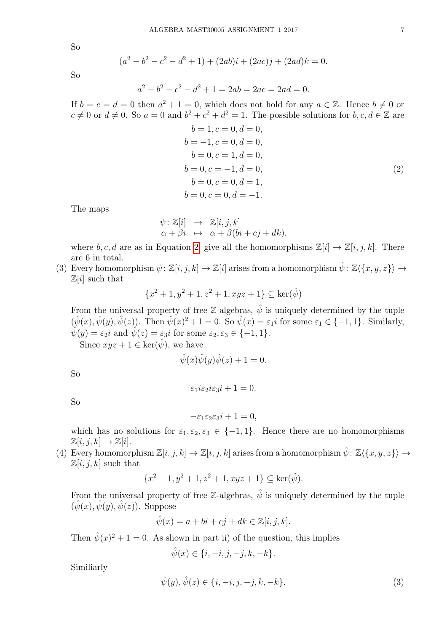So

$$
(a2 - b2 - c2 - d2 + 1) + (2ab)i + (2ac)j + (2ad)k = 0.
$$

So

$$
a^2 - b^2 - c^2 - d^2 + 1 = 2ab = 2ac = 2ad = 0.
$$

If  $b = c = d = 0$  then  $a^2 + 1 = 0$ , which does not hold for any  $a \in \mathbb{Z}$ . Hence  $b \neq 0$  or  $c \neq 0$  or  $d \neq 0$ . So  $a = 0$  and  $b^2 + c^2 + d^2 = 1$ . The possible solutions for  $b, c, d \in \mathbb{Z}$  are  $b = 1, c = 0, d = 0,$  $b = -1, c = 0, d = 0$ 

<span id="page-6-0"></span>
$$
b = -1, c = 0, a = 0,b = 0, c = 1, d = 0,b = 0, c = -1, d = 0,b = 0, c = 0, d = 1,b = 0, c = 0, d = -1.
$$
 (2)

The maps

$$
\psi: \mathbb{Z}[i] \rightarrow \mathbb{Z}[i, j, k] \n\alpha + \beta i \mapsto \alpha + \beta (bi + cj + dk),
$$

where  $b, c, d$  are as in Equation [2,](#page-6-0) give all the homomorphisms  $\mathbb{Z}[i] \to \mathbb{Z}[i, j, k]$ . There are 6 in total.

(3) Every homomorphism  $\psi: \mathbb{Z}[i, j, k] \to \mathbb{Z}[i]$  arises from a homomorphism  $\hat{\psi}: \mathbb{Z}\langle\{x, y, z\}\rangle \to$  $\mathbb{Z}[i]$  such that

$$
\{x^2+1,y^2+1,z^2+1,xyz+1\}\subseteq \ker(\hat{\psi})
$$

From the universal property of free Z-algebras,  $\hat{\psi}$  is uniquely determined by the tuple  $(\hat{\psi}(x), \hat{\psi}(y), \hat{\psi}(z))$ . Then  $\hat{\psi}(x)^2 + 1 = 0$ . So  $\hat{\psi}(x) = \varepsilon_1 i$  for some  $\varepsilon_1 \in \{-1, 1\}$ . Similarly,  $\hat{\psi}(y) = \varepsilon_2 i$  and  $\hat{\psi}(z) = \varepsilon_3 i$  for some  $\varepsilon_2, \varepsilon_3 \in \{-1, 1\}.$ 

Since  $xyz + 1 \in \text{ker}(\hat{\psi})$ , we have

$$
\hat{\psi}(x)\hat{\psi}(y)\hat{\psi}(z) + 1 = 0.
$$

So

$$
\varepsilon_1 i \varepsilon_2 i \varepsilon_3 i + 1 = 0.
$$

So

$$
-\varepsilon_1\varepsilon_2\varepsilon_3i+1=0,
$$

which has no solutions for  $\varepsilon_1, \varepsilon_2, \varepsilon_3 \in \{-1, 1\}$ . Hence there are no homomorphisms  $\mathbb{Z}[i, j, k] \to \mathbb{Z}[i].$ 

(4) Every homomorphism  $\mathbb{Z}[i, j, k] \to \mathbb{Z}[i, j, k]$  arises from a homomorphism  $\hat{\psi} \colon \mathbb{Z}\langle \{x, y, z\}\rangle \to$  $\mathbb{Z}[i, j, k]$  such that

$$
\{x^2 + 1, y^2 + 1, z^2 + 1, xyz + 1\} \subseteq \ker(\hat{\psi}).
$$

From the universal property of free Z-algebras,  $\hat{\psi}$  is uniquely determined by the tuple  $(\hat{\psi}(x), \hat{\psi}(y), \hat{\psi}(z))$ . Suppose

$$
\hat{\psi}(x) = a + bi + cj + dk \in \mathbb{Z}[i, j, k].
$$

Then  $\hat{\psi}(x)^2 + 1 = 0$ . As shown in part ii) of the question, this implies

<span id="page-6-1"></span>
$$
\hat{\psi}(x)\in\{i,-i,j,-j,k,-k\}.
$$

Similiarly

$$
\hat{\psi}(y), \hat{\psi}(z) \in \{i, -i, j, -j, k, -k\}.
$$
\n(3)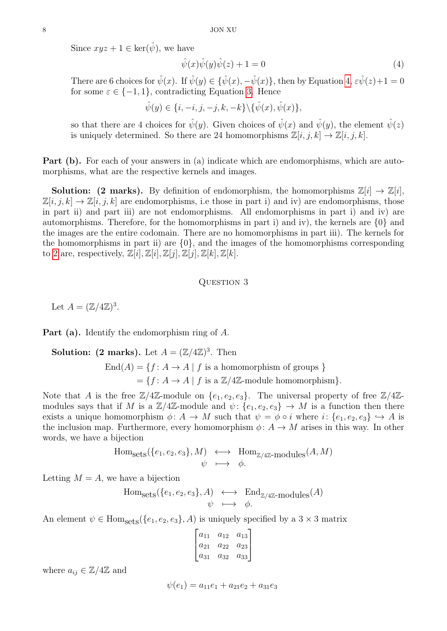Since  $xyz + 1 \in \text{ker}(\hat{\psi})$ , we have

<span id="page-7-1"></span>
$$
\hat{\psi}(x)\hat{\psi}(y)\hat{\psi}(z) + 1 = 0\tag{4}
$$

There are 6 choices for  $\hat{\psi}(x)$ . If  $\hat{\psi}(y) \in {\hat{\psi}(x), -\hat{\psi}(x)}$ , then by Equation [4,](#page-7-1)  $\varepsilon \hat{\psi}(z)+1=0$ for some  $\varepsilon \in \{-1,1\}$ , contradicting Equation [3.](#page-6-1) Hence

$$
\hat{\psi}(y) \in \{i, -i, j, -j, k, -k\} \backslash \{\hat{\psi}(x), \hat{\psi}(x)\},\
$$

so that there are 4 choices for  $\hat{\psi}(y)$ . Given choices of  $\hat{\psi}(x)$  and  $\hat{\psi}(y)$ , the element  $\hat{\psi}(z)$ is uniquely determined. So there are 24 homomorphisms  $\mathbb{Z}[i, j, k] \to \mathbb{Z}[i, j, k]$ .

Part (b). For each of your answers in (a) indicate which are endomorphisms, which are automorphisms, what are the respective kernels and images.

**Solution: (2 marks).** By definition of endomorphism, the homomorphisms  $\mathbb{Z}[i] \to \mathbb{Z}[i]$ ,  $\mathbb{Z}[i, j, k] \to \mathbb{Z}[i, j, k]$  are endomorphisms, i.e those in part i) and iv) are endomorphisms, those in part ii) and part iii) are not endomorphisms. All endomorphisms in part i) and iv) are automorphisms. Therefore, for the homomorphisms in part i) and iv), the kernels are  $\{0\}$  and the images are the entire codomain. There are no homomorphisms in part iii). The kernels for the homomorphisms in part ii) are  $\{0\}$ , and the images of the homomorphisms corresponding to [2](#page-6-0) are, respectively,  $\mathbb{Z}[i], \mathbb{Z}[i], \mathbb{Z}[j], \mathbb{Z}[j], \mathbb{Z}[k], \mathbb{Z}[k].$ 

## <span id="page-7-0"></span>QUESTION 3

Let  $A = (\mathbb{Z}/4\mathbb{Z})^3$ .

Part (a). Identify the endomorphism ring of A.

**Solution:** (2 marks). Let  $A = (\mathbb{Z}/4\mathbb{Z})^3$ . Then

 $\text{End}(A) = \{f: A \to A \mid f \text{ is a homomorphism of groups }\}$  $=\{f: A \rightarrow A \mid f \text{ is a } \mathbb{Z}/4\mathbb{Z}\text{-module homomorphism}\}.$ 

Note that A is the free  $\mathbb{Z}/4\mathbb{Z}$ -module on  $\{e_1, e_2, e_3\}$ . The universal property of free  $\mathbb{Z}/4\mathbb{Z}$ modules says that if M is a  $\mathbb{Z}/4\mathbb{Z}$ -module and  $\psi$ :  $\{e_1, e_2, e_3\} \to M$  is a function then there exists a unique homomorphism  $\phi: A \to M$  such that  $\psi = \phi \circ i$  where  $i: \{e_1, e_2, e_3\} \hookrightarrow A$  is the inclusion map. Furthermore, every homomorphism  $\phi: A \to M$  arises in this way. In other words, we have a bijection

Hom<sub>sets</sub>(
$$
\{e_1, e_2, e_3\}
$$
, M)  $\longleftrightarrow$  Hom<sub>Z/4Z</sub>-modules $(A, M)$   
 $\psi \longmapsto \phi$ .

Letting  $M = A$ , we have a bijection

Hom<sub>sets</sub>(
$$
\{e_1, e_2, e_3\}
$$
, A)  $\longleftrightarrow$  End<sub>Z/4Z</sub>-modules(A)  
 $\psi \longmapsto \phi$ .

An element  $\psi \in \text{Hom}_{\text{sets}}(\{e_1, e_2, e_3\}, A)$  is uniquely specified by a  $3 \times 3$  matrix

$$
\begin{bmatrix} a_{11} & a_{12} & a_{13} \ a_{21} & a_{22} & a_{23} \ a_{31} & a_{32} & a_{33} \end{bmatrix}
$$

where  $a_{ij} \in \mathbb{Z}/4\mathbb{Z}$  and

$$
\psi(e_1) = a_{11}e_1 + a_{21}e_2 + a_{31}e_3
$$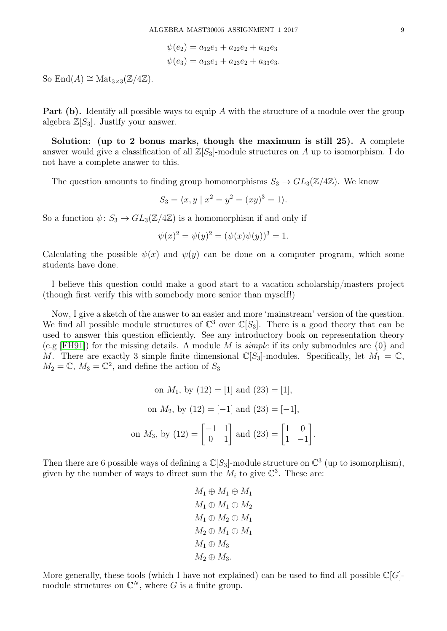$$
\psi(e_2) = a_{12}e_1 + a_{22}e_2 + a_{32}e_3
$$
  

$$
\psi(e_3) = a_{13}e_1 + a_{23}e_2 + a_{33}e_3.
$$

So  $\text{End}(A) \cong \text{Mat}_{3\times 3}(\mathbb{Z}/4\mathbb{Z}).$ 

**Part (b).** Identify all possible ways to equip A with the structure of a module over the group algebra  $\mathbb{Z}[S_3]$ . Justify your answer.

Solution: (up to 2 bonus marks, though the maximum is still 25). A complete answer would give a classification of all  $\mathbb{Z}[S_3]$ -module structures on A up to isomorphism. I do not have a complete answer to this.

The question amounts to finding group homomorphisms  $S_3 \to GL_3(\mathbb{Z}/4\mathbb{Z})$ . We know

$$
S_3 = \langle x, y \mid x^2 = y^2 = (xy)^3 = 1 \rangle.
$$

So a function  $\psi: S_3 \to GL_3(\mathbb{Z}/4\mathbb{Z})$  is a homomorphism if and only if

$$
\psi(x)^{2} = \psi(y)^{2} = (\psi(x)\psi(y))^{3} = 1.
$$

Calculating the possible  $\psi(x)$  and  $\psi(y)$  can be done on a computer program, which some students have done.

I believe this question could make a good start to a vacation scholarship/masters project (though first verify this with somebody more senior than myself!)

Now, I give a sketch of the answer to an easier and more 'mainstream' version of the question. We find all possible module structures of  $\mathbb{C}^3$  over  $\mathbb{C}[S_3]$ . There is a good theory that can be used to answer this question efficiently. See any introductory book on representation theory (e.g [\[FH91\]](#page-11-3)) for the missing details. A module M is *simple* if its only submodules are  $\{0\}$  and M. There are exactly 3 simple finite dimensional  $\mathbb{C}[S_3]$ -modules. Specifically, let  $M_1 = \mathbb{C}$ ,  $M_2 = \mathbb{C}$ ,  $M_3 = \mathbb{C}^2$ , and define the action of  $S_3$ 

on 
$$
M_1
$$
, by (12) = [1] and (23) = [1],  
on  $M_2$ , by (12) = [-1] and (23) = [-1],  
on  $M_3$ , by (12) =  $\begin{bmatrix} -1 & 1 \\ 0 & 1 \end{bmatrix}$  and (23) =  $\begin{bmatrix} 1 & 0 \\ 1 & -1 \end{bmatrix}$ .

Then there are 6 possible ways of defining a  $\mathbb{C}[S_3]$ -module structure on  $\mathbb{C}^3$  (up to isomorphism), given by the number of ways to direct sum the  $M_i$  to give  $\mathbb{C}^3$ . These are:

$$
M_1 \oplus M_1 \oplus M_1
$$
  
\n
$$
M_1 \oplus M_1 \oplus M_2
$$
  
\n
$$
M_1 \oplus M_2 \oplus M_1
$$
  
\n
$$
M_2 \oplus M_1 \oplus M_1
$$
  
\n
$$
M_1 \oplus M_3
$$
  
\n
$$
M_2 \oplus M_3
$$
.

More generally, these tools (which I have not explained) can be used to find all possible  $\mathbb{C}[G]$ module structures on  $\mathbb{C}^N$ , where G is a finite group.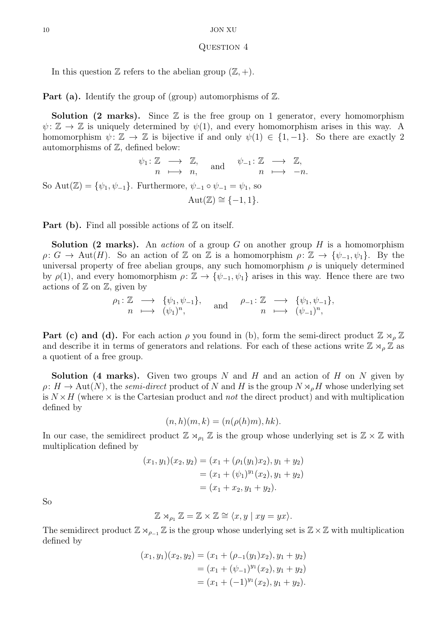### <span id="page-9-0"></span>QUESTION 4

In this question  $\mathbb Z$  refers to the abelian group  $(\mathbb Z, +)$ .

**Part (a).** Identify the group of (group) automorphisms of  $\mathbb{Z}$ .

**Solution (2 marks).** Since  $\mathbb{Z}$  is the free group on 1 generator, every homomorphism  $\psi: \mathbb{Z} \to \mathbb{Z}$  is uniquely determined by  $\psi(1)$ , and every homomorphism arises in this way. A homomorphism  $\psi: \mathbb{Z} \to \mathbb{Z}$  is bijective if and only  $\psi(1) \in \{1, -1\}$ . So there are exactly 2 automorphisms of  $\mathbb{Z}$ , defined below:

$$
\psi_1: \mathbb{Z} \longrightarrow \mathbb{Z}, \quad \text{and} \quad \psi_{-1}: \mathbb{Z} \longrightarrow \mathbb{Z},
$$
  
So  $\text{Aut}(\mathbb{Z}) = \{\psi_1, \psi_{-1}\}.$  Furthermore,  $\psi_{-1} \circ \psi_{-1} = \psi_1$ , so  

$$
\text{Aut}(\mathbb{Z}) \cong \{-1, 1\}.
$$

**Part (b).** Find all possible actions of  $\mathbb{Z}$  on itself.

**Solution (2 marks).** An *action* of a group G on another group H is a homomorphism  $\rho: G \to \text{Aut}(H)$ . So an action of Z on Z is a homomorphism  $\rho: \mathbb{Z} \to \{\psi_{-1}, \psi_1\}$ . By the universal property of free abelian groups, any such homomorphism  $\rho$  is uniquely determined by  $\rho(1)$ , and every homomorphism  $\rho: \mathbb{Z} \to {\psi_{-1}, \psi_1}$  arises in this way. Hence there are two actions of  $\mathbb Z$  on  $\mathbb Z$ , given by

$$
\rho_1: \mathbb{Z} \longrightarrow {\psi_1, \psi_{-1}}, \quad \text{and} \quad \rho_{-1}: \mathbb{Z} \longrightarrow {\psi_1, \psi_{-1}}, \nn \longmapsto (\psi_1)^n,
$$

**Part (c) and (d).** For each action  $\rho$  you found in (b), form the semi-direct product  $\mathbb{Z} \rtimes_{\rho} \mathbb{Z}$ and describe it in terms of generators and relations. For each of these actions write  $\mathbb{Z} \rtimes_{\rho} \mathbb{Z}$  as a quotient of a free group.

**Solution** (4 marks). Given two groups N and H and an action of H on N given by  $\rho: H \to \text{Aut}(N)$ , the semi-direct product of N and H is the group  $N \rtimes_{\rho} H$  whose underlying set is  $N \times H$  (where  $\times$  is the Cartesian product and *not* the direct product) and with multiplication defined by

$$
(n,h)(m,k)=(n(\rho(h)m),hk).
$$

In our case, the semidirect product  $\mathbb{Z} \rtimes_{\rho_1} \mathbb{Z}$  is the group whose underlying set is  $\mathbb{Z} \times \mathbb{Z}$  with multiplication defined by

$$
(x_1, y_1)(x_2, y_2) = (x_1 + (\rho_1(y_1)x_2), y_1 + y_2)
$$
  
=  $(x_1 + (\psi_1)^{y_1}(x_2), y_1 + y_2)$   
=  $(x_1 + x_2, y_1 + y_2).$ 

So

$$
\mathbb{Z} \rtimes_{\rho_1} \mathbb{Z} = \mathbb{Z} \times \mathbb{Z} \cong \langle x, y \mid xy = yx \rangle.
$$

The semidirect product  $\mathbb{Z} \rtimes_{\rho_{-1}} \mathbb{Z}$  is the group whose underlying set is  $\mathbb{Z} \times \mathbb{Z}$  with multiplication defined by

$$
(x_1, y_1)(x_2, y_2) = (x_1 + (\rho_{-1}(y_1)x_2), y_1 + y_2)
$$
  
=  $(x_1 + (\psi_{-1})^{y_1}(x_2), y_1 + y_2)$   
=  $(x_1 + (-1)^{y_1}(x_2), y_1 + y_2).$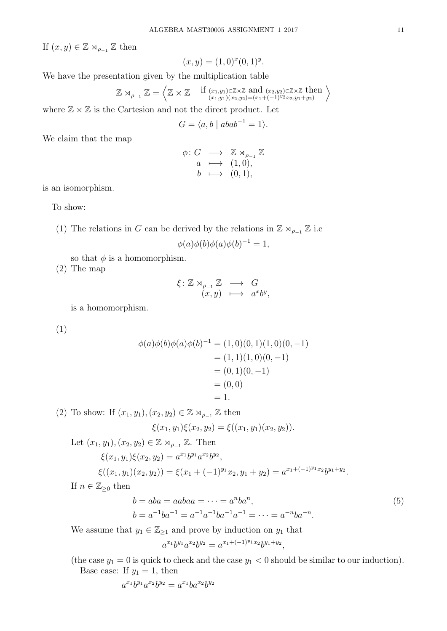If  $(x, y) \in \mathbb{Z} \rtimes_{\rho_{-1}} \mathbb{Z}$  then

$$
(x, y) = (1, 0)^{x} (0, 1)^{y}.
$$

We have the presentation given by the multiplication table

$$
\mathbb{Z} \rtimes_{\rho_{-1}} \mathbb{Z} = \left\langle \mathbb{Z} \times \mathbb{Z} \mid \text{if } (x_1, y_1) \in \mathbb{Z} \times \mathbb{Z} \text{ and } (x_2, y_2) \in \mathbb{Z} \times \mathbb{Z} \text{ then } \atop (x_1, y_1)(x_2, y_2) = (x_1 + (-1)^{y_2} x_2, y_1 + y_2)} \right\rangle
$$

where  $\mathbb{Z} \times \mathbb{Z}$  is the Cartesion and not the direct product. Let

$$
G = \langle a, b \mid abab^{-1} = 1 \rangle.
$$

We claim that the map

$$
\begin{array}{rcl}\n\phi: G & \longrightarrow & \mathbb{Z} \rtimes_{\rho_{-1}} \mathbb{Z} \\
a & \longmapsto & (1,0), \\
b & \longmapsto & (0,1),\n\end{array}
$$

is an isomorphism.

To show:

(1) The relations in G can be derived by the relations in  $\mathbb{Z} \rtimes_{\rho_{-1}} \mathbb{Z}$  i.e

$$
\phi(a)\phi(b)\phi(a)\phi(b)^{-1} = 1,
$$

so that  $\phi$  is a homomorphism.

(2) The map

$$
\xi \colon \mathbb{Z} \rtimes_{\rho_{-1}} \mathbb{Z} \longrightarrow G
$$

$$
(x, y) \longmapsto a^x b^y,
$$

is a homomorphism.

(1)

$$
\phi(a)\phi(b)\phi(a)\phi(b)^{-1} = (1,0)(0,1)(1,0)(0,-1)
$$
  
= (1,1)(1,0)(0,-1)  
= (0,1)(0,-1)  
= (0,0)  
= 1.

(2) To show: If  $(x_1, y_1), (x_2, y_2) \in \mathbb{Z} \rtimes_{\rho_{-1}} \mathbb{Z}$  then  $\xi(x_1, y_1)\xi(x_2, y_2) = \xi((x_1, y_1)(x_2, y_2)).$ 

Let  $(x_1, y_1), (x_2, y_2) \in \mathbb{Z} \rtimes_{\rho_{-1}} \mathbb{Z}$ . Then  $\xi(x_1, y_1)\xi(x_2, y_2) = a^{x_1}b^{y_1}a^{x_2}b^{y_2},$  $\xi((x_1, y_1)(x_2, y_2)) = \xi(x_1 + (-1)^{y_1}x_2, y_1 + y_2) = a^{x_1 + (-1)^{y_1}x_2}b^{y_1 + y_2}.$ If  $n \in \mathbb{Z}_{\geq 0}$  then

$$
b = aba = aabaa = \dots = a^nba^n,
$$
  
\n
$$
b = a^{-1}ba^{-1} = a^{-1}a^{-1}ba^{-1}a^{-1} = \dots = a^{-n}ba^{-n}.
$$
\n(5)

We assume that  $y_1 \in \mathbb{Z}_{\geq 1}$  and prove by induction on  $y_1$  that

<span id="page-10-0"></span>
$$
a^{x_1}b^{y_1}a^{x_2}b^{y_2} = a^{x_1 + (-1)^{y_1}x_2}b^{y_1 + y_2},
$$

(the case  $y_1 = 0$  is quick to check and the case  $y_1 < 0$  should be similar to our induction). Base case: If  $y_1 = 1$ , then

$$
a^{x_1}b^{y_1}a^{x_2}b^{y_2} = a^{x_1}ba^{x_2}b^{y_2}
$$